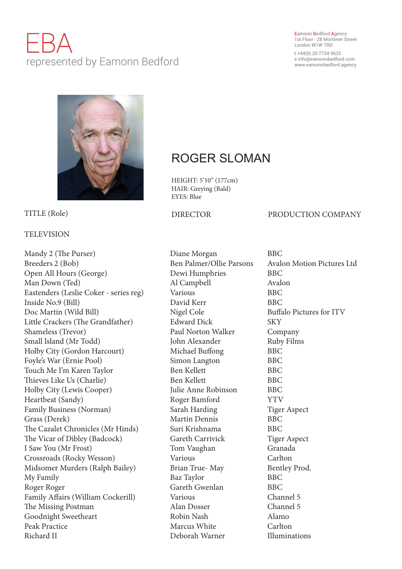# EBA represented by Eamonn Bedford

### Eamonn Bedford Agency 1st Floor - 28 Mortimer Street London W1W 7RD

t +44(0) 20 7734 9632 e info@eamonnbedford.com www.eamonnbedford.agency



## TELEVISION

Mandy 2 (The Purser) Diane Morgan BBC Breeders 2 (Bob) Ben Palmer/Ollie Parsons Avalon Motion Pictures Ltd Open All Hours (George) Dewi Humphries BBC Man Down (Ted) Al Campbell Avalon Eastenders (Leslie Coker - series reg) Various BBC Inside No.9 (Bill) David Kerr BBC Doc Martin (Wild Bill) Nigel Cole Buffalo Pictures for ITV Little Crackers (The Grandfather) Edward Dick SKY Shameless (Trevor) **Paul Norton Walker** Company Small Island (Mr Todd) John Alexander Ruby Films Holby City (Gordon Harcourt) Michael Buffong BBC Foyle's War (Ernie Pool) Simon Langton BBC Touch Me I'm Karen Taylor Ben Kellett BBC Thieves Like Us (Charlie) Ben Kellett BBC Holby City (Lewis Cooper) Julie Anne Robinson BBC Heartbeat (Sandy) Roger Bamford YTV Family Business (Norman) Sarah Harding Tiger Aspect Grass (Derek) Martin Dennis BBC The Cazalet Chronicles (Mr Hinds) Suri Krishnama BBC The Vicar of Dibley (Badcock) Gareth Carrivick Tiger Aspect I Saw You (Mr Frost) Tom Vaughan Granada Crossroads (Rocky Wesson) Various Carlton Midsomer Murders (Ralph Bailey) Brian True- May Bentley Prod. My Family Baz Taylor BBC Roger Roger **Gareth Gwenlan** BBC Family Affairs (William Cockerill) Various Channel 5 The Missing Postman Alan Dosser Channel 5 Goodnight Sweetheart **Robin Nash Alamo** Peak Practice Marcus White Carlton Richard II Deborah Warner Illuminations

## ROGER SLOMAN

HEIGHT: 5'10" (177cm) HAIR: Greying (Bald) EYES: Blue

## TITLE (Role) **DIRECTOR** PRODUCTION COMPANY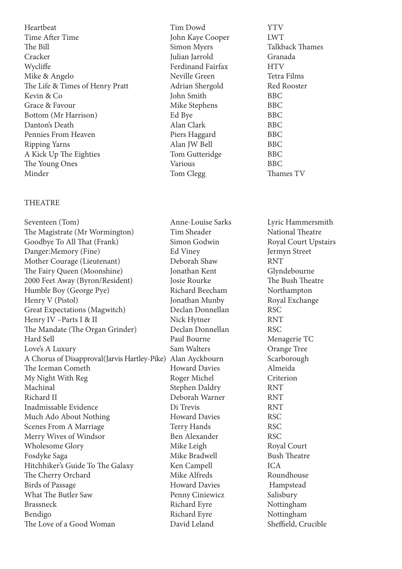Heartbeat Tim Dowd YTV Time After Time **IVALUAT** John Kaye Cooper LWT The Bill Simon Myers Talkback Thames Cracker Julian Jarrold Granada Wycliffe Ferdinand Fairfax HTV Mike & Angelo Neville Green Tetra Films The Life & Times of Henry Pratt Adrian Shergold Red Rooster Kevin & Co John Smith BBC Grace & Favour BBC Bottom (Mr Harrison) BBC BU BBC Danton's Death Alan Clark BBC Pennies From Heaven Piers Haggard BBC Ripping Yarns BBC A Kick Up The Eighties Tom Gutteridge BBC The Young Ones Various Various BBC Minder Tom Clegg Thames TV

## **THEATRE**

Seventeen (Tom) Anne-Louise Sarks Lyric Hammersmith The Magistrate (Mr Wormington) Tim Sheader National Theatre Goodbye To All That (Frank) Simon Godwin Royal Court Upstairs Danger:Memory (Fine) Ed Viney Fermyn Street Mother Courage (Lieutenant) Deborah Shaw RNT The Fairy Queen (Moonshine) Jonathan Kent Glyndebourne 2000 Feet Away (Byron/Resident) Josie Rourke The Bush Theatre Humble Boy (George Pye) Richard Beecham Northampton Henry V (Pistol) **Solution** Jonathan Munby Royal Exchange Great Expectations (Magwitch) Declan Donnellan RSC Henry IV –Parts I & II Nick Hytner RNT The Mandate (The Organ Grinder) Declan Donnellan RSC Hard Sell Paul Bourne Menagerie TC Love's A Luxury Sam Walters Orange Tree A Chorus of Disapproval(Jarvis Hartley-Pike) Alan Ayckbourn Scarborough The Iceman Cometh Howard Davies Almeida My Night With Reg Roger Michel Criterion Machinal Stephen Daldry RNT Richard II Deborah Warner RNT Inadmissable Evidence Di Trevis RNT Much Ado About Nothing Howard Davies RSC Scenes From A Marriage Terry Hands RSC Merry Wives of Windsor Ben Alexander RSC Wholesome Glory Mike Leigh Royal Court Fosdyke Saga Mike Bradwell Bush Theatre Hitchhiker's Guide To The Galaxy Ken Campell ICA The Cherry Orchard Mike Alfreds Roundhouse<br>Birds of Passage Howard Davies Hampstead Birds of Passage Howard Davies Hampstead What The Butler Saw Penny Ciniewicz Salisbury Brassneck Richard Eyre Nottingham Bendigo Richard Eyre Nottingham The Love of a Good Woman David Leland Sheffield, Crucible